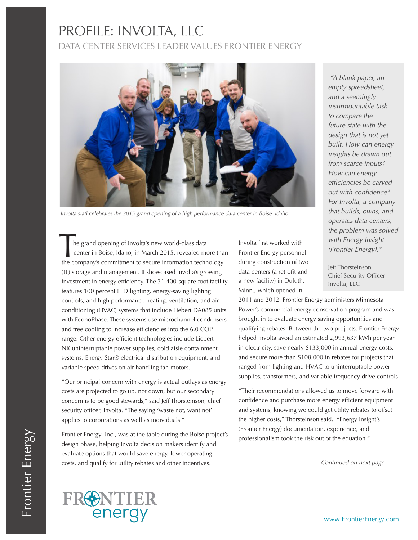## PROFILE: INVOLTA, LLC DATA CENTER SERVICES LEADER VALUES FRONTIER ENERGY



*Involta staff celebrates the 2015 grand opening of a high performance data center in Boise, Idaho.*

 he grand opening of Involta's new world-class data center in Boise, Idaho, in March 2015, revealed more than The grand opening of Involta's new world-class data<br>
center in Boise, Idaho, in March 2015, revealed more tha<br>
the company's commitment to secure information technology (IT) storage and management. It showcased Involta's growing investment in energy efficiency. The 31,400-square-foot facility features 100 percent LED lighting, energy-saving lighting controls, and high performance heating, ventilation, and air conditioning (HVAC) systems that include Liebert DA085 units with EconoPhase. These systems use microchannel condensers and free cooling to increase efficiencies into the 6.0 COP range. Other energy efficient technologies include Liebert NX uninterruptable power supplies, cold aisle containment systems, Energy Star® electrical distribution equipment, and variable speed drives on air handling fan motors.

"Our principal concern with energy is actual outlays as energy costs are projected to go up, not down, but our secondary concern is to be good stewards," said Jeff Thorsteinson, chief security officer, Involta. "The saying 'waste not, want not' applies to corporations as well as individuals."

Frontier Energy, Inc., was at the table during the Boise project's design phase, helping Involta decision makers identify and evaluate options that would save energy, lower operating costs, and qualify for utility rebates and other incentives.

Involta first worked with Frontier Energy personnel during construction of two data centers (a retrofit and a new facility) in Duluth, Minn., which opened in

2011 and 2012. Frontier Energy administers Minnesota Power's commercial energy conservation program and was brought in to evaluate energy saving opportunities and qualifying rebates. Between the two projects, Frontier Energy helped Involta avoid an estimated 2,993,637 kWh per year in electricity, save nearly \$133,000 in annual energy costs, and secure more than \$108,000 in rebates for projects that ranged from lighting and HVAC to uninterruptable power supplies, transformers, and variable frequency drive controls.

"Their recommendations allowed us to move forward with confidence and purchase more energy efficient equipment and systems, knowing we could get utility rebates to offset the higher costs," Thorsteinson said. "Energy Insight's (Frontier Energy) documentation, experience, and professionalism took the risk out of the equation."

*Continued on next page*



Jeff Thorsteinson Chief Security Officer Involta, LLC

Frontier Energy Frontier Energy



www.FrontierEnergy.com